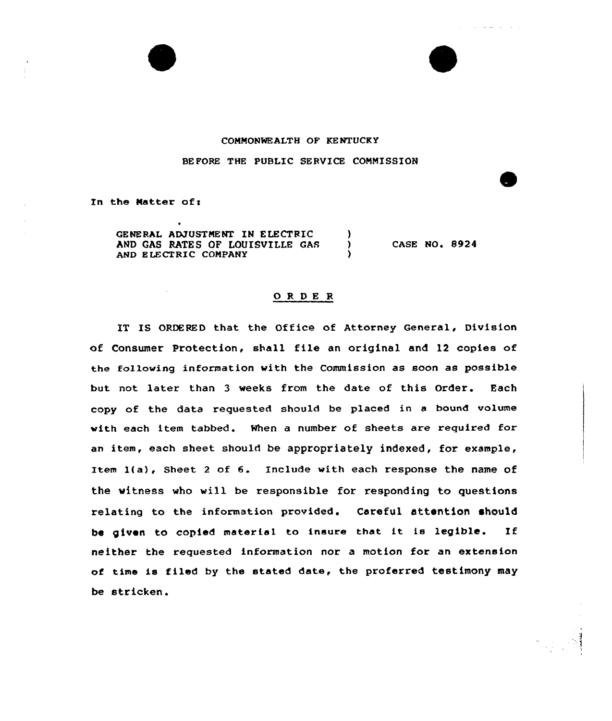## COMMONWEALTH OF KENTUCKY

والأوالي والمقاطر الوال

### BEFORE THE PUBLIC SERVICE COMMISSION

In the Matter of:

GENERAL ADJUSTMENT IN ELECTRIC (1)<br>AND GAS RATES OF LOUISVILLE GAS AND GAS RATES OF LOUISVILLE GAS AND ELECTRIC COMPANY CASE NO. 8924

#### ORDER

IT IS ORDERED that the Office of Attorney General, Division of Consumer Protection, shall file an original and 12 copies of the following information with the Commission as soon as possible but not latex than 3 weeks from the date of this Order. Each copy of the data requested should be placed in a bound volume with each item tabbed. When a number of sheets are required for an item, each sheet should be appropriately indexed, for example, Item l(a), Sheet <sup>2</sup> of 6. Include with each response the name of the witness who will be responsible for responding to questions relating to the information provided. Careful attention should be given to copied material to insure that it is legib)e. If neither the requested information nor a motion for an extension of time is filed by the stated date, the proferred testimony may be stricken.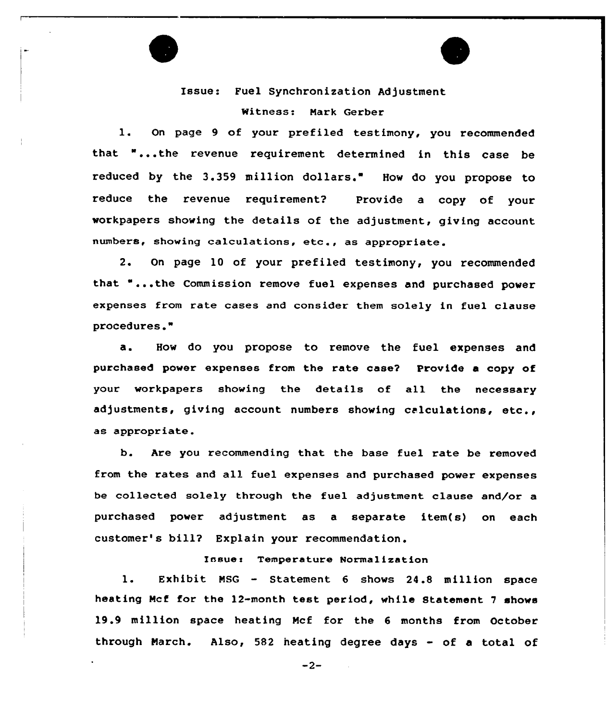Issue: Fuel Synchronization Adjustment

Witness: Nark Gerber

1. On page <sup>9</sup> of your prefiled testimony, you recommended that "...the revenue requirement determined in this case be reduced by the 3.359 million dollars." How do you propose to reduce the revenue requirement? Provide a copy of your workpapers showing the details of the adjustment, giving account numbers, showing calculations, etc., as appropriate.

2. On page 10 of your prefiled testimony, you recommended that "...the Commission remove fuel expenses and purchased power expenses from rate cases and consider them solely in fuel clause procedures."

a. How do you propose to remove the fuel expenses and purchased power expenses from the rate case2 Provide a copy of your workpapers showing the details of all the necessary adjustments, giving account numbers showing calculations, etc., as appropriate.

b. Are you recommending that the base fuel rate be removed from the rates and all fuel expenses and purchased power expenses be collected solely through the fuel adjustment clause and/or a purchased power adjustment. as a separate item(s) on each customer's bill? Explain your recommendation.

Issue: Temperature Normalization

l. Exhibit NSG — Statement <sup>6</sup> shows 24.8 million space heating Mcf for the 12-month test period, while Statement <sup>7</sup> shows 19.9 million space heating Ncf for the <sup>6</sup> months from October through Narch. Also, <sup>582</sup> heating degree days - of <sup>a</sup> total of

 $-2-$